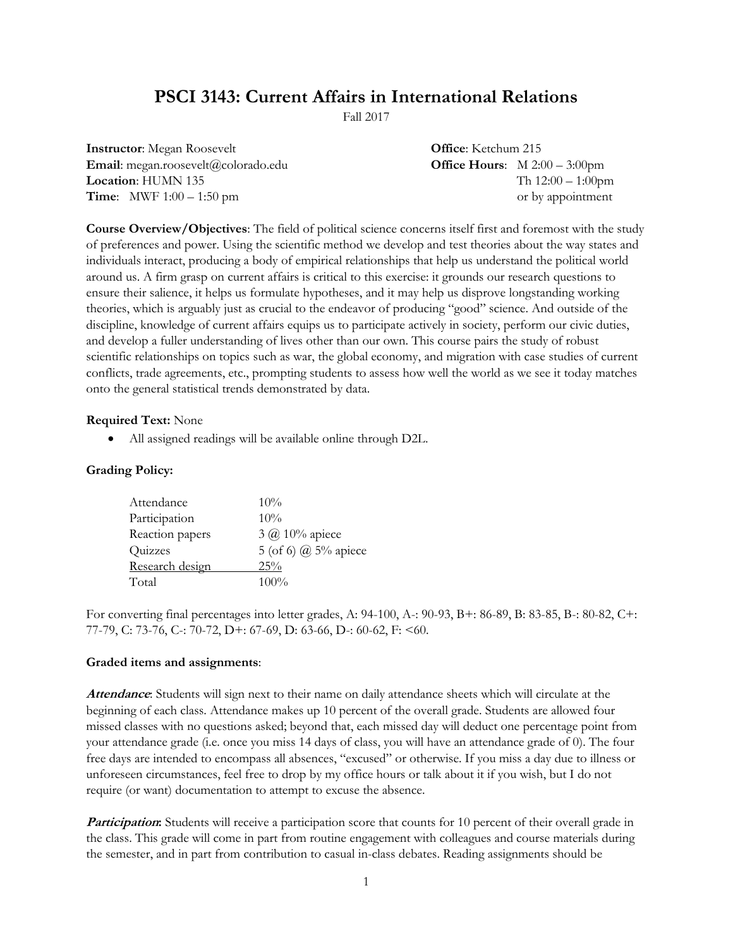# **PSCI 3143: Current Affairs in International Relations**

Fall 2017

| <b>Instructor:</b> Megan Roosevelt  | <b>Office:</b> Ketchum 215 |                                                |
|-------------------------------------|----------------------------|------------------------------------------------|
| Email: megan.roosevelt@colorado.edu |                            | <b>Office Hours:</b> $M 2:00 - 3:00 \text{pm}$ |
| <b>Location: HUMN 135</b>           |                            | Th $12:00-1:00$ pm                             |
| <b>Time:</b> MWF $1:00 - 1:50$ pm   |                            | or by appointment                              |

**Course Overview/Objectives**: The field of political science concerns itself first and foremost with the study of preferences and power. Using the scientific method we develop and test theories about the way states and individuals interact, producing a body of empirical relationships that help us understand the political world around us. A firm grasp on current affairs is critical to this exercise: it grounds our research questions to ensure their salience, it helps us formulate hypotheses, and it may help us disprove longstanding working theories, which is arguably just as crucial to the endeavor of producing "good" science. And outside of the discipline, knowledge of current affairs equips us to participate actively in society, perform our civic duties, and develop a fuller understanding of lives other than our own. This course pairs the study of robust scientific relationships on topics such as war, the global economy, and migration with case studies of current conflicts, trade agreements, etc., prompting students to assess how well the world as we see it today matches onto the general statistical trends demonstrated by data.

#### **Required Text:** None

All assigned readings will be available online through D2L.

#### **Grading Policy:**

| Attendance      | $10\%$                 |
|-----------------|------------------------|
| Participation   | $10\%$                 |
| Reaction papers | $3 \omega$ 10% apiece  |
| Quizzes         | 5 (of 6) $@$ 5% apiece |
| Research design | 25%                    |
| Total           | $100\%$                |

For converting final percentages into letter grades, A: 94-100, A-: 90-93, B+: 86-89, B: 83-85, B-: 80-82, C+: 77-79, C: 73-76, C-: 70-72, D+: 67-69, D: 63-66, D-: 60-62, F: <60.

#### **Graded items and assignments**:

**Attendance**: Students will sign next to their name on daily attendance sheets which will circulate at the beginning of each class. Attendance makes up 10 percent of the overall grade. Students are allowed four missed classes with no questions asked; beyond that, each missed day will deduct one percentage point from your attendance grade (i.e. once you miss 14 days of class, you will have an attendance grade of 0). The four free days are intended to encompass all absences, "excused" or otherwise. If you miss a day due to illness or unforeseen circumstances, feel free to drop by my office hours or talk about it if you wish, but I do not require (or want) documentation to attempt to excuse the absence.

**Participation:** Students will receive a participation score that counts for 10 percent of their overall grade in the class. This grade will come in part from routine engagement with colleagues and course materials during the semester, and in part from contribution to casual in-class debates. Reading assignments should be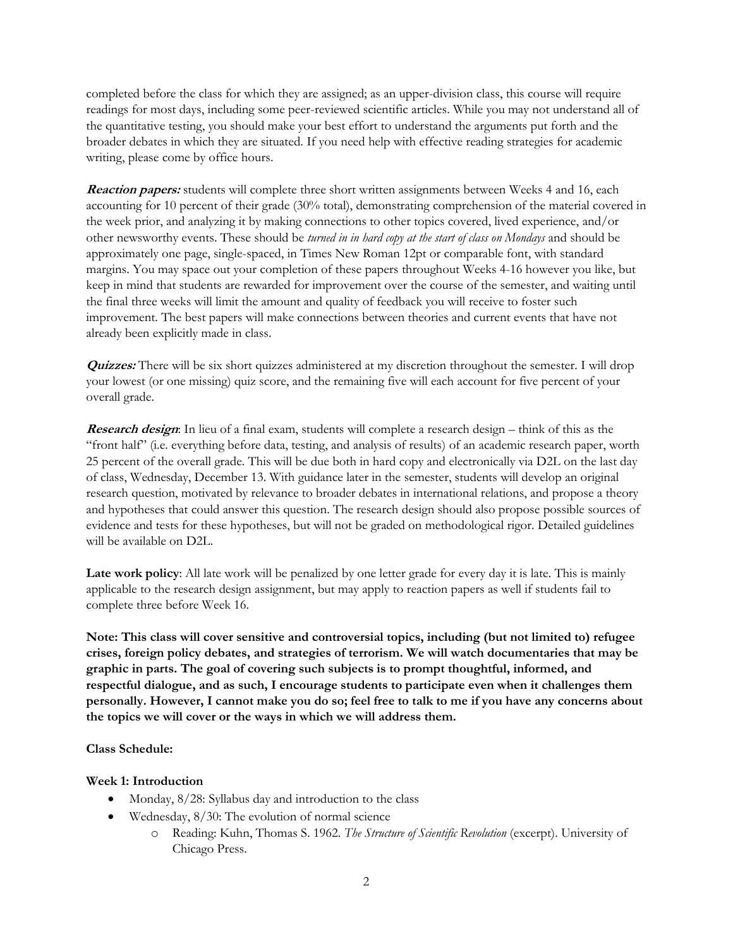completed before the class for which they are assigned; as an upper-division class, this course will require readings for most days, including some peer-reviewed scientific articles. While you may not understand all of the quantitative testing, you should make your best effort to understand the arguments put forth and the broader debates in which they are situated. If you need help with effective reading strategies for academic writing, please come by office hours.

**Reaction papers:** students will complete three short written assignments between Weeks 4 and 16, each accounting for 10 percent of their grade (30% total), demonstrating comprehension of the material covered in the week prior, and analyzing it by making connections to other topics covered, lived experience, and/or other newsworthy events. These should be *turned in in hard copy at the start of class on Mondays* and should be approximately one page, single-spaced, in Times New Roman 12pt or comparable font, with standard margins. You may space out your completion of these papers throughout Weeks 4-16 however you like, but keep in mind that students are rewarded for improvement over the course of the semester, and waiting until the final three weeks will limit the amount and quality of feedback you will receive to foster such improvement. The best papers will make connections between theories and current events that have not already been explicitly made in class.

**Quizzes:** There will be six short quizzes administered at my discretion throughout the semester. I will drop your lowest (or one missing) quiz score, and the remaining five will each account for five percent of your overall grade.

**Research design:** In lieu of a final exam, students will complete a research design – think of this as the "front half" (i.e. everything before data, testing, and analysis of results) of an academic research paper, worth 25 percent of the overall grade. This will be due both in hard copy and electronically via D2L on the last day of class, Wednesday, December 13. With guidance later in the semester, students will develop an original research question, motivated by relevance to broader debates in international relations, and propose a theory and hypotheses that could answer this question. The research design should also propose possible sources of evidence and tests for these hypotheses, but will not be graded on methodological rigor. Detailed guidelines will be available on D2L.

Late work policy: All late work will be penalized by one letter grade for every day it is late. This is mainly applicable to the research design assignment, but may apply to reaction papers as well if students fail to complete three before Week 16.

**Note: This class will cover sensitive and controversial topics, including (but not limited to) refugee crises, foreign policy debates, and strategies of terrorism. We will watch documentaries that may be graphic in parts. The goal of covering such subjects is to prompt thoughtful, informed, and respectful dialogue, and as such, I encourage students to participate even when it challenges them personally. However, I cannot make you do so; feel free to talk to me if you have any concerns about the topics we will cover or the ways in which we will address them.** 

#### **Class Schedule:**

### **Week 1: Introduction**

- Monday,  $8/28$ : Syllabus day and introduction to the class
- Wednesday, 8/30: The evolution of normal science
	- o Reading: Kuhn, Thomas S. 1962. *The Structure of Scientific Revolution* (excerpt). University of Chicago Press.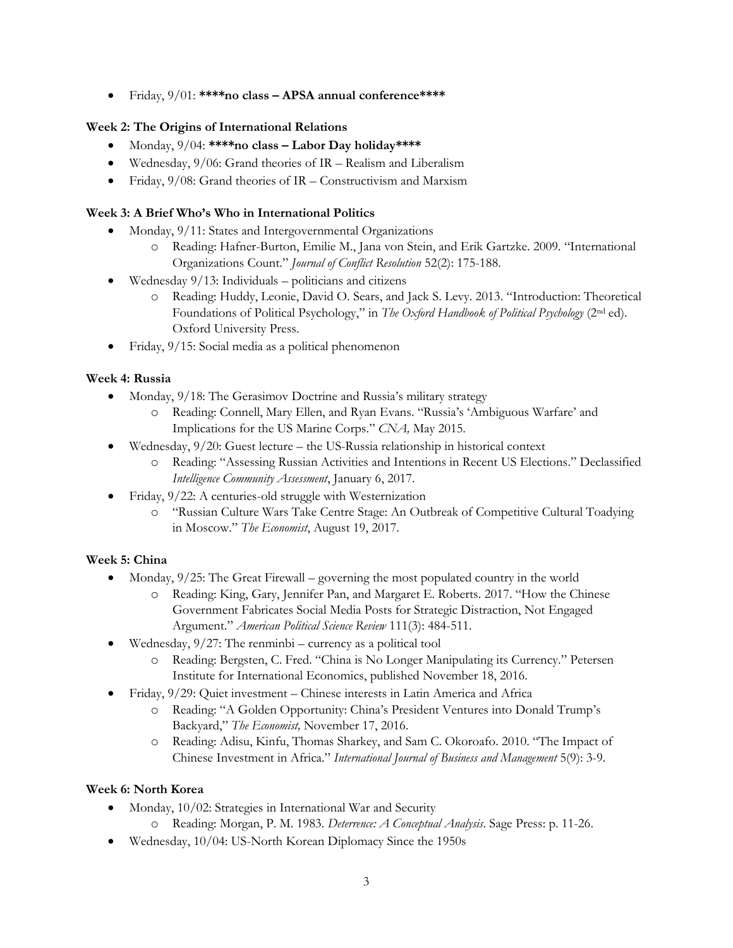Friday, 9/01: **\*\*\*\*no class – APSA annual conference\*\*\*\***

## **Week 2: The Origins of International Relations**

- Monday, 9/04: **\*\*\*\*no class – Labor Day holiday\*\*\*\***
- Wednesday, 9/06: Grand theories of IR Realism and Liberalism
- Friday,  $9/08$ : Grand theories of IR Constructivism and Marxism

## **Week 3: A Brief Who's Who in International Politics**

- Monday, 9/11: States and Intergovernmental Organizations
	- o Reading: Hafner-Burton, Emilie M., Jana von Stein, and Erik Gartzke. 2009. "International Organizations Count." *Journal of Conflict Resolution* 52(2): 175-188.
- Wednesday 9/13: Individuals politicians and citizens
	- o Reading: Huddy, Leonie, David O. Sears, and Jack S. Levy. 2013. "Introduction: Theoretical Foundations of Political Psychology," in *The Oxford Handbook of Political Psychology* (2nd ed). Oxford University Press.
- Friday, 9/15: Social media as a political phenomenon

## **Week 4: Russia**

- Monday, 9/18: The Gerasimov Doctrine and Russia's military strategy
	- o Reading: Connell, Mary Ellen, and Ryan Evans. "Russia's 'Ambiguous Warfare' and Implications for the US Marine Corps." *CNA,* May 2015.
- Wednesday, 9/20: Guest lecture the US-Russia relationship in historical context
	- o Reading: "Assessing Russian Activities and Intentions in Recent US Elections." Declassified *Intelligence Community Assessment*, January 6, 2017.
- Friday, 9/22: A centuries-old struggle with Westernization
	- o "Russian Culture Wars Take Centre Stage: An Outbreak of Competitive Cultural Toadying in Moscow." *The Economist*, August 19, 2017.

# **Week 5: China**

- Monday,  $9/25$ : The Great Firewall governing the most populated country in the world
	- o Reading: King, Gary, Jennifer Pan, and Margaret E. Roberts. 2017. "How the Chinese Government Fabricates Social Media Posts for Strategic Distraction, Not Engaged Argument." *American Political Science Review* 111(3): 484-511.
- Wednesday, 9/27: The renminbi currency as a political tool
	- o Reading: Bergsten, C. Fred. "China is No Longer Manipulating its Currency." Petersen Institute for International Economics, published November 18, 2016.
- Friday, 9/29: Quiet investment Chinese interests in Latin America and Africa
	- o Reading: "A Golden Opportunity: China's President Ventures into Donald Trump's Backyard," *The Economist,* November 17, 2016.
	- o Reading: Adisu, Kinfu, Thomas Sharkey, and Sam C. Okoroafo. 2010. "The Impact of Chinese Investment in Africa." *International Journal of Business and Management* 5(9): 3-9.

### **Week 6: North Korea**

- Monday, 10/02: Strategies in International War and Security
	- o Reading: Morgan, P. M. 1983. *Deterrence: A Conceptual Analysis*. Sage Press: p. 11-26.
- Wednesday, 10/04: US-North Korean Diplomacy Since the 1950s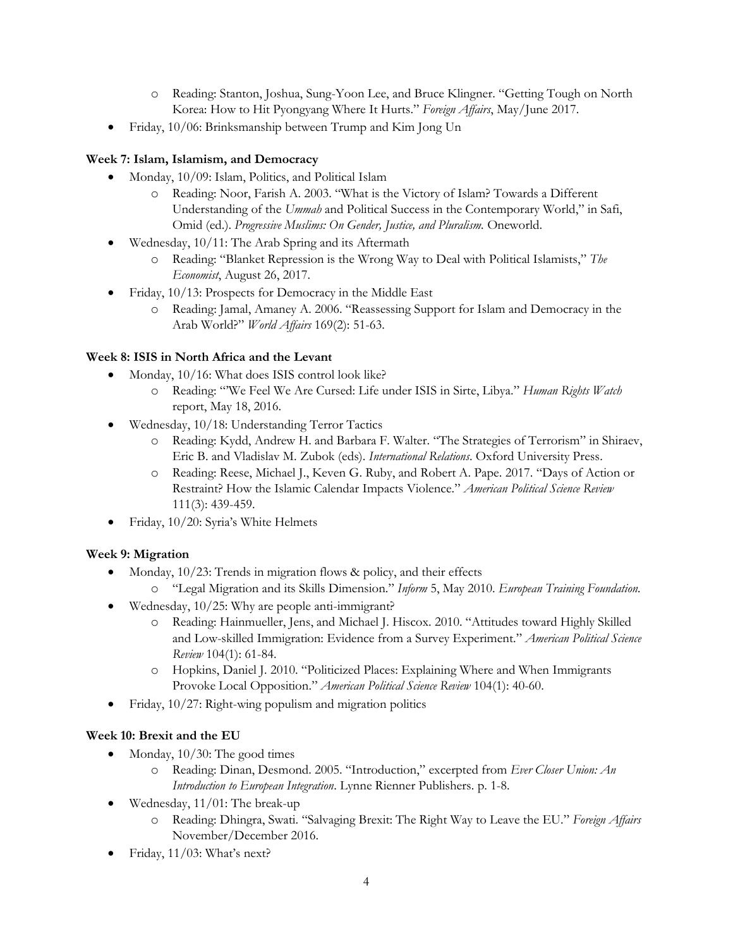- o Reading: Stanton, Joshua, Sung-Yoon Lee, and Bruce Klingner. "Getting Tough on North Korea: How to Hit Pyongyang Where It Hurts." *Foreign Affairs*, May/June 2017.
- Friday, 10/06: Brinksmanship between Trump and Kim Jong Un

# **Week 7: Islam, Islamism, and Democracy**

- Monday, 10/09: Islam, Politics, and Political Islam
	- o Reading: Noor, Farish A. 2003. "What is the Victory of Islam? Towards a Different Understanding of the *Ummah* and Political Success in the Contemporary World," in Safi, Omid (ed.). *Progressive Muslims: On Gender, Justice, and Pluralism.* Oneworld.
- Wednesday, 10/11: The Arab Spring and its Aftermath
	- o Reading: "Blanket Repression is the Wrong Way to Deal with Political Islamists," *The Economist*, August 26, 2017.
- Friday, 10/13: Prospects for Democracy in the Middle East
	- o Reading: Jamal, Amaney A. 2006. "Reassessing Support for Islam and Democracy in the Arab World?" *World Affairs* 169(2): 51-63.

# **Week 8: ISIS in North Africa and the Levant**

- Monday, 10/16: What does ISIS control look like?
	- o Reading: "'We Feel We Are Cursed: Life under ISIS in Sirte, Libya." *Human Rights Watch* report, May 18, 2016.
- Wednesday, 10/18: Understanding Terror Tactics
	- Reading: Kydd, Andrew H. and Barbara F. Walter. "The Strategies of Terrorism" in Shiraev, Eric B. and Vladislav M. Zubok (eds). *International Relations*. Oxford University Press.
	- o Reading: Reese, Michael J., Keven G. Ruby, and Robert A. Pape. 2017. "Days of Action or Restraint? How the Islamic Calendar Impacts Violence." *American Political Science Review* 111(3): 439-459.
- Friday, 10/20: Syria's White Helmets

# **Week 9: Migration**

- Monday, 10/23: Trends in migration flows & policy, and their effects o "Legal Migration and its Skills Dimension." *Inform* 5, May 2010. *European Training Foundation.*
- Wednesday, 10/25: Why are people anti-immigrant?
	- o Reading: Hainmueller, Jens, and Michael J. Hiscox. 2010. "Attitudes toward Highly Skilled and Low-skilled Immigration: Evidence from a Survey Experiment." *American Political Science Review* 104(1): 61-84.
	- o Hopkins, Daniel J. 2010. "Politicized Places: Explaining Where and When Immigrants Provoke Local Opposition." *American Political Science Review* 104(1): 40-60.
- Friday, 10/27: Right-wing populism and migration politics

# **Week 10: Brexit and the EU**

- Monday,  $10/30$ : The good times
	- o Reading: Dinan, Desmond. 2005. "Introduction," excerpted from *Ever Closer Union: An Introduction to European Integration*. Lynne Rienner Publishers. p. 1-8.
- Wednesday, 11/01: The break-up
	- o Reading: Dhingra, Swati. "Salvaging Brexit: The Right Way to Leave the EU." *Foreign Affairs* November/December 2016.
- Friday, 11/03: What's next?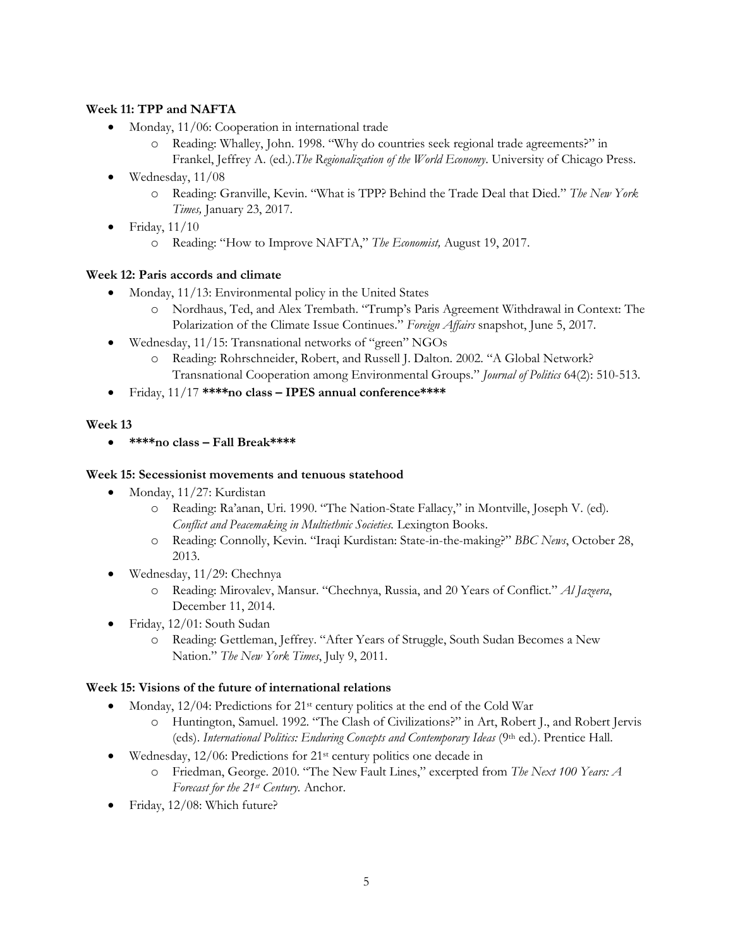## **Week 11: TPP and NAFTA**

- Monday, 11/06: Cooperation in international trade
	- o Reading: Whalley, John. 1998. "Why do countries seek regional trade agreements?" in Frankel, Jeffrey A. (ed.).*The Regionalization of the World Economy*. University of Chicago Press.
- $\bullet$  Wednesday, 11/08
	- o Reading: Granville, Kevin. "What is TPP? Behind the Trade Deal that Died." *The New York Times,* January 23, 2017.
- $\bullet$  Friday,  $11/10$ 
	- o Reading: "How to Improve NAFTA," *The Economist,* August 19, 2017.

## **Week 12: Paris accords and climate**

- Monday, 11/13: Environmental policy in the United States
	- o Nordhaus, Ted, and Alex Trembath. "Trump's Paris Agreement Withdrawal in Context: The Polarization of the Climate Issue Continues." *Foreign Affairs* snapshot, June 5, 2017.
- Wednesday, 11/15: Transnational networks of "green" NGOs
	- o Reading: Rohrschneider, Robert, and Russell J. Dalton. 2002. "A Global Network? Transnational Cooperation among Environmental Groups." *Journal of Politics* 64(2): 510-513.
- Friday, 11/17 **\*\*\*\*no class – IPES annual conference\*\*\*\***

## **Week 13**

**\*\*\*\*no class – Fall Break\*\*\*\***

### **Week 15: Secessionist movements and tenuous statehood**

- Monday, 11/27: Kurdistan
	- o Reading: Ra'anan, Uri. 1990. "The Nation-State Fallacy," in Montville, Joseph V. (ed). *Conflict and Peacemaking in Multiethnic Societies.* Lexington Books.
	- o Reading: Connolly, Kevin. "Iraqi Kurdistan: State-in-the-making?" *BBC News*, October 28, 2013.
- Wednesday, 11/29: Chechnya
	- o Reading: Mirovalev, Mansur. "Chechnya, Russia, and 20 Years of Conflict." *Al Jazeera*, December 11, 2014.
- Friday, 12/01: South Sudan
	- o Reading: Gettleman, Jeffrey. "After Years of Struggle, South Sudan Becomes a New Nation." *The New York Times*, July 9, 2011.

### **Week 15: Visions of the future of international relations**

- Monday,  $12/04$ : Predictions for  $21$ <sup>st</sup> century politics at the end of the Cold War
	- o Huntington, Samuel. 1992. "The Clash of Civilizations?" in Art, Robert J., and Robert Jervis (eds). *International Politics: Enduring Concepts and Contemporary Ideas* (9th ed.). Prentice Hall.
- Wednesday, 12/06: Predictions for 21<sup>st</sup> century politics one decade in
	- o Friedman, George. 2010. "The New Fault Lines," excerpted from *The Next 100 Years: A Forecast for the 21st Century.* Anchor.
- Friday, 12/08: Which future?